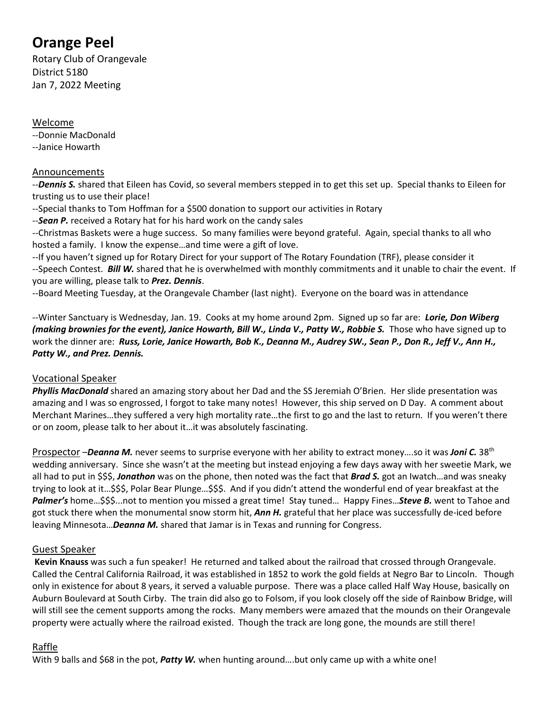# **Orange Peel**

Rotary Club of Orangevale District 5180 Jan 7, 2022 Meeting

## Welcome

--Donnie MacDonald --Janice Howarth

#### Announcements

--*Dennis S.* shared that Eileen has Covid, so several members stepped in to get this set up. Special thanks to Eileen for trusting us to use their place!

--Special thanks to Tom Hoffman for a \$500 donation to support our activities in Rotary

--*Sean P.* received a Rotary hat for his hard work on the candy sales

--Christmas Baskets were a huge success. So many families were beyond grateful. Again, special thanks to all who hosted a family. I know the expense…and time were a gift of love.

--If you haven't signed up for Rotary Direct for your support of The Rotary Foundation (TRF), please consider it --Speech Contest. *Bill W.* shared that he is overwhelmed with monthly commitments and it unable to chair the event. If you are willing, please talk to *Prez. Dennis*.

--Board Meeting Tuesday, at the Orangevale Chamber (last night). Everyone on the board was in attendance

--Winter Sanctuary is Wednesday, Jan. 19. Cooks at my home around 2pm. Signed up so far are: *Lorie, Don Wiberg (making brownies for the event), Janice Howarth, Bill W., Linda V., Patty W., Robbie S.* Those who have signed up to work the dinner are: *Russ, Lorie, Janice Howarth, Bob K., Deanna M., Audrey SW., Sean P., Don R., Jeff V., Ann H., Patty W., and Prez. Dennis.*

### Vocational Speaker

*Phyllis MacDonald* shared an amazing story about her Dad and the SS Jeremiah O'Brien. Her slide presentation was amazing and I was so engrossed, I forgot to take many notes! However, this ship served on D Day. A comment about Merchant Marines…they suffered a very high mortality rate…the first to go and the last to return. If you weren't there or on zoom, please talk to her about it…it was absolutely fascinating.

Prospector –*Deanna M.* never seems to surprise everyone with her ability to extract money….so it was *Joni C.* 38th wedding anniversary. Since she wasn't at the meeting but instead enjoying a few days away with her sweetie Mark, we all had to put in \$\$\$, *Jonathon* was on the phone, then noted was the fact that *Brad S.* got an Iwatch…and was sneaky trying to look at it...\$\$\$, Polar Bear Plunge...\$\$\$. And if you didn't attend the wonderful end of year breakfast at the *Palmer's* home…\$\$\$...not to mention you missed a great time! Stay tuned… Happy Fines…*Steve B.* went to Tahoe and got stuck there when the monumental snow storm hit, *Ann H.* grateful that her place was successfully de-iced before leaving Minnesota…*Deanna M.* shared that Jamar is in Texas and running for Congress.

### Guest Speaker

**Kevin Knauss** was such a fun speaker! He returned and talked about the railroad that crossed through Orangevale. Called the Central California Railroad, it was established in 1852 to work the gold fields at Negro Bar to Lincoln. Though only in existence for about 8 years, it served a valuable purpose. There was a place called Half Way House, basically on Auburn Boulevard at South Cirby. The train did also go to Folsom, if you look closely off the side of Rainbow Bridge, will will still see the cement supports among the rocks. Many members were amazed that the mounds on their Orangevale property were actually where the railroad existed. Though the track are long gone, the mounds are still there!

### Raffle

With 9 balls and \$68 in the pot, *Patty W.* when hunting around….but only came up with a white one!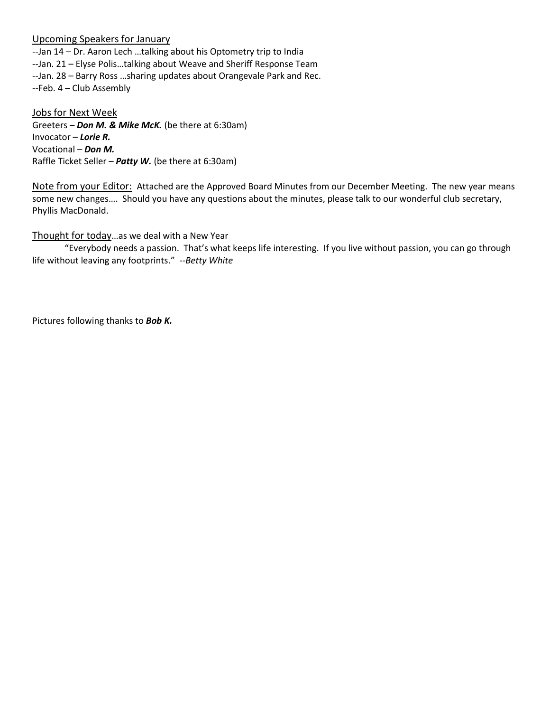#### Upcoming Speakers for January

--Jan 14 – Dr. Aaron Lech …talking about his Optometry trip to India --Jan. 21 – Elyse Polis…talking about Weave and Sheriff Response Team --Jan. 28 – Barry Ross …sharing updates about Orangevale Park and Rec. --Feb. 4 – Club Assembly

Jobs for Next Week Greeters – *Don M. & Mike McK.* (be there at 6:30am) Invocator – *Lorie R.* Vocational – *Don M.* Raffle Ticket Seller – *Patty W.* (be there at 6:30am)

Note from your Editor: Attached are the Approved Board Minutes from our December Meeting. The new year means some new changes…. Should you have any questions about the minutes, please talk to our wonderful club secretary, Phyllis MacDonald.

Thought for today...as we deal with a New Year

"Everybody needs a passion. That's what keeps life interesting. If you live without passion, you can go through life without leaving any footprints." *--Betty White*

Pictures following thanks to *Bob K.*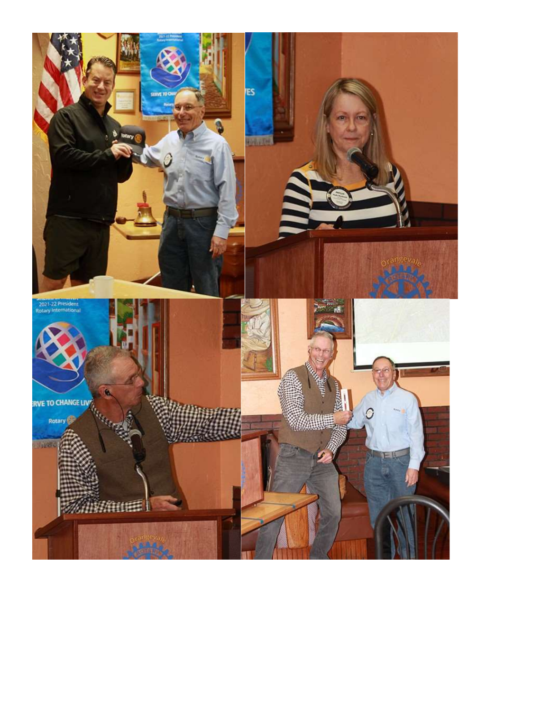